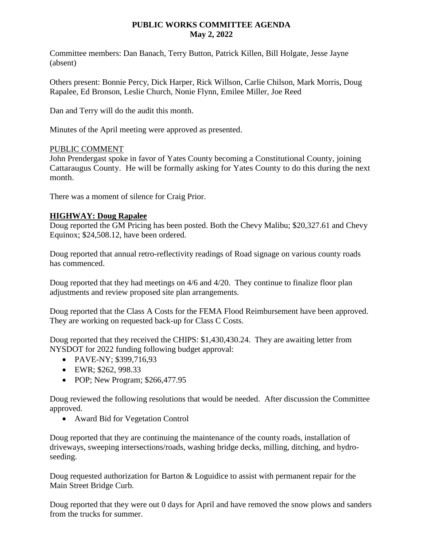### **PUBLIC WORKS COMMITTEE AGENDA May 2, 2022**

Committee members: Dan Banach, Terry Button, Patrick Killen, Bill Holgate, Jesse Jayne (absent)

Others present: Bonnie Percy, Dick Harper, Rick Willson, Carlie Chilson, Mark Morris, Doug Rapalee, Ed Bronson, Leslie Church, Nonie Flynn, Emilee Miller, Joe Reed

Dan and Terry will do the audit this month.

Minutes of the April meeting were approved as presented.

# PUBLIC COMMENT

John Prendergast spoke in favor of Yates County becoming a Constitutional County, joining Cattaraugus County. He will be formally asking for Yates County to do this during the next month.

There was a moment of silence for Craig Prior.

# **HIGHWAY: Doug Rapalee**

Doug reported the GM Pricing has been posted. Both the Chevy Malibu; \$20,327.61 and Chevy Equinox; \$24,508.12, have been ordered.

Doug reported that annual retro-reflectivity readings of Road signage on various county roads has commenced.

Doug reported that they had meetings on 4/6 and 4/20. They continue to finalize floor plan adjustments and review proposed site plan arrangements.

Doug reported that the Class A Costs for the FEMA Flood Reimbursement have been approved. They are working on requested back-up for Class C Costs.

Doug reported that they received the CHIPS: \$1,430,430.24. They are awaiting letter from NYSDOT for 2022 funding following budget approval:

- PAVE-NY; \$399,716,93
- EWR; \$262, 998.33
- POP; New Program; \$266,477.95

Doug reviewed the following resolutions that would be needed. After discussion the Committee approved.

Award Bid for Vegetation Control

Doug reported that they are continuing the maintenance of the county roads, installation of driveways, sweeping intersections/roads, washing bridge decks, milling, ditching, and hydroseeding.

Doug requested authorization for Barton & Loguidice to assist with permanent repair for the Main Street Bridge Curb.

Doug reported that they were out 0 days for April and have removed the snow plows and sanders from the trucks for summer.